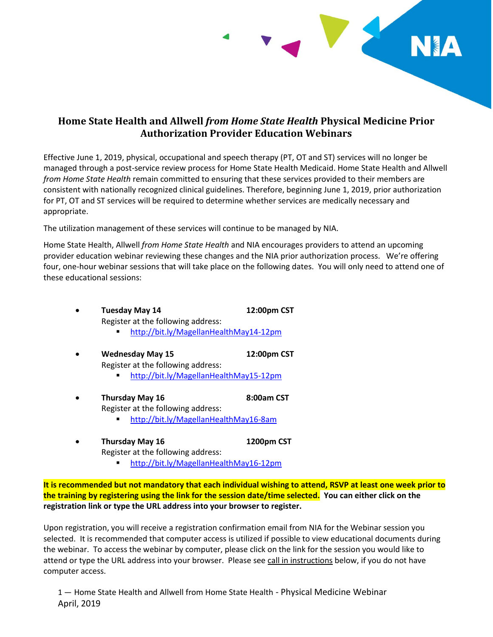

## **Home State Health and Allwell** *from Home State Health* **Physical Medicine Prior Authorization Provider Education Webinars**

Effective June 1, 2019, physical, occupational and speech therapy (PT, OT and ST) services will no longer be managed through a post-service review process for Home State Health Medicaid. Home State Health and Allwell *from Home State Health* remain committed to ensuring that these services provided to their members are consistent with nationally recognized clinical guidelines. Therefore, beginning June 1, 2019, prior authorization for PT, OT and ST services will be required to determine whether services are medically necessary and appropriate.

The utilization management of these services will continue to be managed by NIA.

Home State Health, Allwell *from Home State Health* and NIA encourages providers to attend an upcoming provider education webinar reviewing these changes and the NIA prior authorization process. We're offering four, one-hour webinar sessions that will take place on the following dates. You will only need to attend one of these educational sessions:

- $\bullet$ **Tuesday May 14 12:00pm CST**  Register at the following address:
	- <http://bit.ly/MagellanHealthMay14-12pm>
- $\bullet$ **Wednesday May 15 12:00pm CST**  Register at the following address:
	- <http://bit.ly/MagellanHealthMay15-12pm>
- $\bullet$ Thursday May 16 8:00am CST Register at the following address:
	- <http://bit.ly/MagellanHealthMay16-8am>
- $\bullet$ **Thursday May 16 1200pm CST**  Register at the following address:
	- <http://bit.ly/MagellanHealthMay16-12pm>

**It is recommended but not mandatory that each individual wishing to attend, RSVP at least one week prior to the training by registering using the link for the session date/time selected. You can either click on the registration link or type the URL address into your browser to register.** 

Upon registration, you will receive a registration confirmation email from NIA for the Webinar session you selected. It is recommended that computer access is utilized if possible to view educational documents during the webinar. To access the webinar by computer, please click on the link for the session you would like to attend or type the URL address into your browser. Please see call in instructions below, if you do not have computer access.

1 — Home State Health and Allwell from Home State Health - Physical Medicine Webinar April, 2019